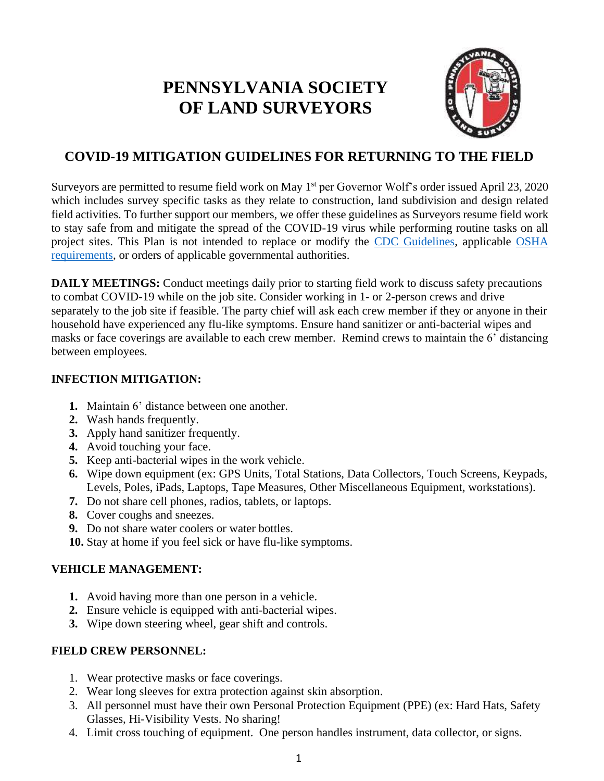# **PENNSYLVANIA SOCIETY OF LAND SURVEYORS**



# **COVID-19 MITIGATION GUIDELINES FOR RETURNING TO THE FIELD**

Surveyors are permitted to resume field work on May 1<sup>st</sup> per Governor Wolf's order issued April 23, 2020 which includes survey specific tasks as they relate to construction, land subdivision and design related field activities. To further support our members, we offer these guidelines as Surveyors resume field work to stay safe from and mitigate the spread of the COVID-19 virus while performing routine tasks on all project sites. This Plan is not intended to replace or modify the [CDC Guidelines, a](https://www.cdc.gov/coronavirus/2019-ncov/community/guidance-business-response.html)pplicable [OSHA](https://www.osha.gov/SLTC/covid-19/) [requirements, o](https://www.osha.gov/SLTC/covid-19/)r orders of applicable governmental authorities.

**DAILY MEETINGS:** Conduct meetings daily prior to starting field work to discuss safety precautions to combat COVID-19 while on the job site. Consider working in 1- or 2-person crews and drive separately to the job site if feasible. The party chief will ask each crew member if they or anyone in their household have experienced any flu-like symptoms. Ensure hand sanitizer or anti-bacterial wipes and masks or face coverings are available to each crew member. Remind crews to maintain the 6' distancing between employees.

### **INFECTION MITIGATION:**

- **1.** Maintain 6' distance between one another.
- **2.** Wash hands frequently.
- **3.** Apply hand sanitizer frequently.
- **4.** Avoid touching your face.
- **5.** Keep anti-bacterial wipes in the work vehicle.
- **6.** Wipe down equipment (ex: GPS Units, Total Stations, Data Collectors, Touch Screens, Keypads, Levels, Poles, iPads, Laptops, Tape Measures, Other Miscellaneous Equipment, workstations).
- **7.** Do not share cell phones, radios, tablets, or laptops.
- **8.** Cover coughs and sneezes.
- **9.** Do not share water coolers or water bottles.
- **10.** Stay at home if you feel sick or have flu-like symptoms.

## **VEHICLE MANAGEMENT:**

- **1.** Avoid having more than one person in a vehicle.
- **2.** Ensure vehicle is equipped with anti-bacterial wipes.
- **3.** Wipe down steering wheel, gear shift and controls.

## **FIELD CREW PERSONNEL:**

- 1. Wear protective masks or face coverings.
- 2. Wear long sleeves for extra protection against skin absorption.
- 3. All personnel must have their own Personal Protection Equipment (PPE) (ex: Hard Hats, Safety Glasses, Hi-Visibility Vests. No sharing!
- 4. Limit cross touching of equipment. One person handles instrument, data collector, or signs.